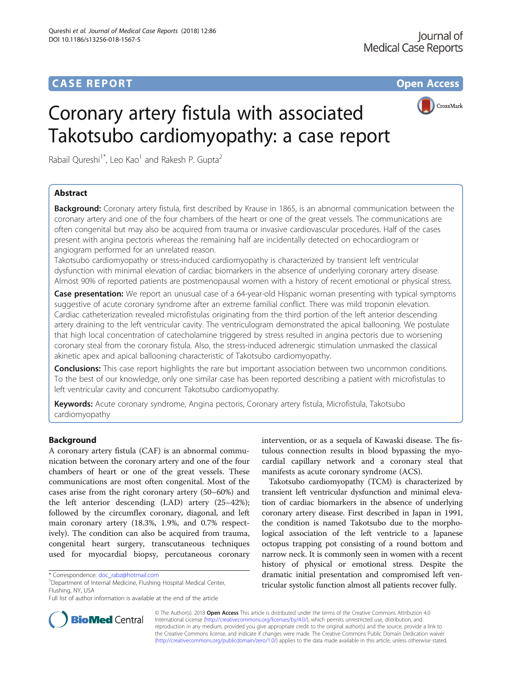

# Coronary artery fistula with associated Takotsubo cardiomyopathy: a case report

Rabail Qureshi<sup>1\*</sup>, Leo Kao<sup>1</sup> and Rakesh P. Gupta<sup>2</sup>

# Abstract

**Background:** Coronary artery fistula, first described by Krause in 1865, is an abnormal communication between the coronary artery and one of the four chambers of the heart or one of the great vessels. The communications are often congenital but may also be acquired from trauma or invasive cardiovascular procedures. Half of the cases present with angina pectoris whereas the remaining half are incidentally detected on echocardiogram or angiogram performed for an unrelated reason.

Takotsubo cardiomyopathy or stress-induced cardiomyopathy is characterized by transient left ventricular dysfunction with minimal elevation of cardiac biomarkers in the absence of underlying coronary artery disease. Almost 90% of reported patients are postmenopausal women with a history of recent emotional or physical stress.

Case presentation: We report an unusual case of a 64-year-old Hispanic woman presenting with typical symptoms suggestive of acute coronary syndrome after an extreme familial conflict. There was mild troponin elevation. Cardiac catheterization revealed microfistulas originating from the third portion of the left anterior descending artery draining to the left ventricular cavity. The ventriculogram demonstrated the apical ballooning. We postulate that high local concentration of catecholamine triggered by stress resulted in angina pectoris due to worsening coronary steal from the coronary fistula. Also, the stress-induced adrenergic stimulation unmasked the classical akinetic apex and apical ballooning characteristic of Takotsubo cardiomyopathy.

**Conclusions:** This case report highlights the rare but important association between two uncommon conditions. To the best of our knowledge, only one similar case has been reported describing a patient with microfistulas to left ventricular cavity and concurrent Takotsubo cardiomyopathy.

Keywords: Acute coronary syndrome, Angina pectoris, Coronary artery fistula, Microfistula, Takotsubo cardiomyopathy

## Background

A coronary artery fistula (CAF) is an abnormal communication between the coronary artery and one of the four chambers of heart or one of the great vessels. These communications are most often congenital. Most of the cases arise from the right coronary artery (50–60%) and the left anterior descending (LAD) artery (25–42%); followed by the circumflex coronary, diagonal, and left main coronary artery (18.3%, 1.9%, and 0.7% respectively). The condition can also be acquired from trauma, congenital heart surgery, transcutaneous techniques used for myocardial biopsy, percutaneous coronary

Department of Internal Medicine, Flushing Hospital Medical Center, Flushing, NY, USA

intervention, or as a sequela of Kawaski disease. The fistulous connection results in blood bypassing the myocardial capillary network and a coronary steal that manifests as acute coronary syndrome (ACS).

Takotsubo cardiomyopathy (TCM) is characterized by transient left ventricular dysfunction and minimal elevation of cardiac biomarkers in the absence of underlying coronary artery disease. First described in Japan in 1991, the condition is named Takotsubo due to the morphological association of the left ventricle to a Japanese octopus trapping pot consisting of a round bottom and narrow neck. It is commonly seen in women with a recent history of physical or emotional stress. Despite the dramatic initial presentation and compromised left ventricular systolic function almost all patients recover fully.



© The Author(s). 2018 Open Access This article is distributed under the terms of the Creative Commons Attribution 4.0 International License [\(http://creativecommons.org/licenses/by/4.0/](http://creativecommons.org/licenses/by/4.0/)), which permits unrestricted use, distribution, and reproduction in any medium, provided you give appropriate credit to the original author(s) and the source, provide a link to the Creative Commons license, and indicate if changes were made. The Creative Commons Public Domain Dedication waiver [\(http://creativecommons.org/publicdomain/zero/1.0/](http://creativecommons.org/publicdomain/zero/1.0/)) applies to the data made available in this article, unless otherwise stated.

<sup>\*</sup> Correspondence: [doc\\_rabz@hotmail.com](mailto:doc_rabz@hotmail.com) <sup>1</sup>

Full list of author information is available at the end of the article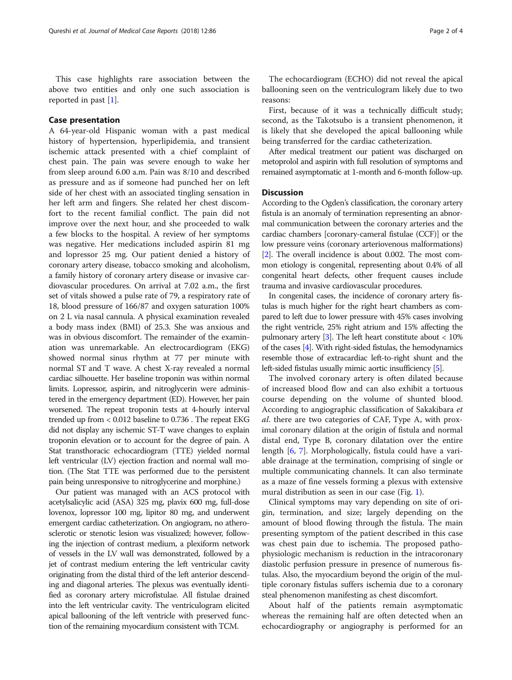This case highlights rare association between the above two entities and only one such association is reported in past [\[1](#page-3-0)].

## Case presentation

A 64-year-old Hispanic woman with a past medical history of hypertension, hyperlipidemia, and transient ischemic attack presented with a chief complaint of chest pain. The pain was severe enough to wake her from sleep around 6.00 a.m. Pain was 8/10 and described as pressure and as if someone had punched her on left side of her chest with an associated tingling sensation in her left arm and fingers. She related her chest discomfort to the recent familial conflict. The pain did not improve over the next hour, and she proceeded to walk a few blocks to the hospital. A review of her symptoms was negative. Her medications included aspirin 81 mg and lopressor 25 mg. Our patient denied a history of coronary artery disease, tobacco smoking and alcoholism, a family history of coronary artery disease or invasive cardiovascular procedures. On arrival at 7.02 a.m., the first set of vitals showed a pulse rate of 79, a respiratory rate of 18, blood pressure of 166/87 and oxygen saturation 100% on 2 L via nasal cannula. A physical examination revealed a body mass index (BMI) of 25.3. She was anxious and was in obvious discomfort. The remainder of the examination was unremarkable. An electrocardiogram (EKG) showed normal sinus rhythm at 77 per minute with normal ST and T wave. A chest X-ray revealed a normal cardiac silhouette. Her baseline troponin was within normal limits. Lopressor, aspirin, and nitroglycerin were administered in the emergency department (ED). However, her pain worsened. The repeat troponin tests at 4-hourly interval trended up from < 0.012 baseline to 0.736 . The repeat EKG did not display any ischemic ST-T wave changes to explain troponin elevation or to account for the degree of pain. A Stat transthoracic echocardiogram (TTE) yielded normal left ventricular (LV) ejection fraction and normal wall motion. (The Stat TTE was performed due to the persistent pain being unresponsive to nitroglycerine and morphine.)

Our patient was managed with an ACS protocol with acetylsalicylic acid (ASA) 325 mg, plavix 600 mg, full-dose lovenox, lopressor 100 mg, lipitor 80 mg, and underwent emergent cardiac catheterization. On angiogram, no atherosclerotic or stenotic lesion was visualized; however, following the injection of contrast medium, a plexiform network of vessels in the LV wall was demonstrated, followed by a jet of contrast medium entering the left ventricular cavity originating from the distal third of the left anterior descending and diagonal arteries. The plexus was eventually identified as coronary artery microfistulae. All fistulae drained into the left ventricular cavity. The ventriculogram elicited apical ballooning of the left ventricle with preserved function of the remaining myocardium consistent with TCM.

The echocardiogram (ECHO) did not reveal the apical ballooning seen on the ventriculogram likely due to two reasons:

First, because of it was a technically difficult study; second, as the Takotsubo is a transient phenomenon, it is likely that she developed the apical ballooning while being transferred for the cardiac catheterization.

After medical treatment our patient was discharged on metoprolol and aspirin with full resolution of symptoms and remained asymptomatic at 1-month and 6-month follow-up.

## **Discussion**

According to the Ogden's classification, the coronary artery fistula is an anomaly of termination representing an abnormal communication between the coronary arteries and the cardiac chambers [coronary-cameral fistulae (CCF)] or the low pressure veins (coronary arteriovenous malformations) [[2](#page-3-0)]. The overall incidence is about 0.002. The most common etiology is congenital, representing about 0.4% of all congenital heart defects, other frequent causes include trauma and invasive cardiovascular procedures.

In congenital cases, the incidence of coronary artery fistulas is much higher for the right heart chambers as compared to left due to lower pressure with 45% cases involving the right ventricle, 25% right atrium and 15% affecting the pulmonary artery  $[3]$  $[3]$ . The left heart constitute about  $< 10\%$ of the cases [\[4\]](#page-3-0). With right-sided fistulas, the hemodynamics resemble those of extracardiac left-to-right shunt and the left-sided fistulas usually mimic aortic insufficiency [[5](#page-3-0)].

The involved coronary artery is often dilated because of increased blood flow and can also exhibit a tortuous course depending on the volume of shunted blood. According to angiographic classification of Sakakibara et al. there are two categories of CAF, Type A, with proximal coronary dilation at the origin of fistula and normal distal end, Type B, coronary dilatation over the entire length [\[6](#page-3-0), [7\]](#page-3-0). Morphologically, fistula could have a variable drainage at the termination, comprising of single or multiple communicating channels. It can also terminate as a maze of fine vessels forming a plexus with extensive mural distribution as seen in our case (Fig. [1](#page-2-0)).

Clinical symptoms may vary depending on site of origin, termination, and size; largely depending on the amount of blood flowing through the fistula. The main presenting symptom of the patient described in this case was chest pain due to ischemia. The proposed pathophysiologic mechanism is reduction in the intracoronary diastolic perfusion pressure in presence of numerous fistulas. Also, the myocardium beyond the origin of the multiple coronary fistulas suffers ischemia due to a coronary steal phenomenon manifesting as chest discomfort.

About half of the patients remain asymptomatic whereas the remaining half are often detected when an echocardiography or angiography is performed for an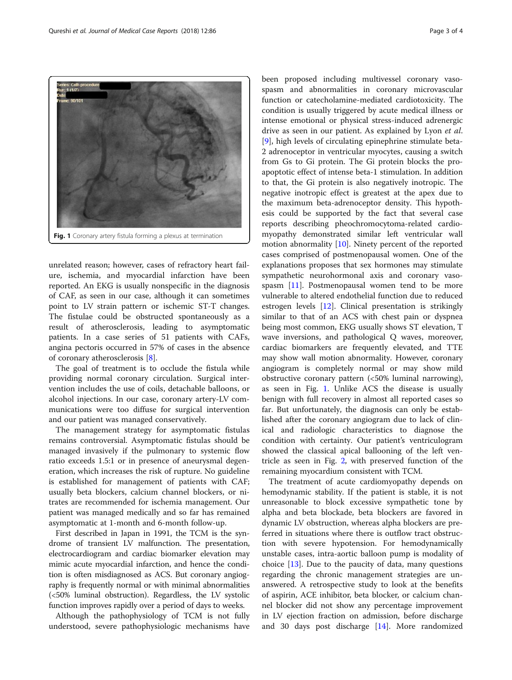unrelated reason; however, cases of refractory heart failure, ischemia, and myocardial infarction have been reported. An EKG is usually nonspecific in the diagnosis of CAF, as seen in our case, although it can sometimes point to LV strain pattern or ischemic ST-T changes. The fistulae could be obstructed spontaneously as a result of atherosclerosis, leading to asymptomatic patients. In a case series of 51 patients with CAFs, angina pectoris occurred in 57% of cases in the absence of coronary atherosclerosis [[8\]](#page-3-0).

Fig. 1 Coronary artery fistula forming a plexus at termination

The goal of treatment is to occlude the fistula while providing normal coronary circulation. Surgical intervention includes the use of coils, detachable balloons, or alcohol injections. In our case, coronary artery-LV communications were too diffuse for surgical intervention and our patient was managed conservatively.

The management strategy for asymptomatic fistulas remains controversial. Asymptomatic fistulas should be managed invasively if the pulmonary to systemic flow ratio exceeds 1.5:1 or in presence of aneurysmal degeneration, which increases the risk of rupture. No guideline is established for management of patients with CAF; usually beta blockers, calcium channel blockers, or nitrates are recommended for ischemia management. Our patient was managed medically and so far has remained asymptomatic at 1-month and 6-month follow-up.

First described in Japan in 1991, the TCM is the syndrome of transient LV malfunction. The presentation, electrocardiogram and cardiac biomarker elevation may mimic acute myocardial infarction, and hence the condition is often misdiagnosed as ACS. But coronary angiography is frequently normal or with minimal abnormalities (<50% luminal obstruction). Regardless, the LV systolic function improves rapidly over a period of days to weeks.

Although the pathophysiology of TCM is not fully understood, severe pathophysiologic mechanisms have spasm and abnormalities in coronary microvascular function or catecholamine-mediated cardiotoxicity. The condition is usually triggered by acute medical illness or intense emotional or physical stress-induced adrenergic drive as seen in our patient. As explained by Lyon et al. [[9\]](#page-3-0), high levels of circulating epinephrine stimulate beta-2 adrenoceptor in ventricular myocytes, causing a switch from Gs to Gi protein. The Gi protein blocks the proapoptotic effect of intense beta-1 stimulation. In addition to that, the Gi protein is also negatively inotropic. The negative inotropic effect is greatest at the apex due to the maximum beta-adrenoceptor density. This hypothesis could be supported by the fact that several case reports describing pheochromocytoma-related cardiomyopathy demonstrated similar left ventricular wall motion abnormality [\[10\]](#page-3-0). Ninety percent of the reported cases comprised of postmenopausal women. One of the explanations proposes that sex hormones may stimulate sympathetic neurohormonal axis and coronary vasospasm [[11](#page-3-0)]. Postmenopausal women tend to be more vulnerable to altered endothelial function due to reduced estrogen levels [[12\]](#page-3-0). Clinical presentation is strikingly similar to that of an ACS with chest pain or dyspnea being most common, EKG usually shows ST elevation, T wave inversions, and pathological Q waves, moreover, cardiac biomarkers are frequently elevated, and TTE may show wall motion abnormality. However, coronary angiogram is completely normal or may show mild obstructive coronary pattern (<50% luminal narrowing), as seen in Fig. 1. Unlike ACS the disease is usually benign with full recovery in almost all reported cases so far. But unfortunately, the diagnosis can only be established after the coronary angiogram due to lack of clinical and radiologic characteristics to diagnose the condition with certainty. Our patient's ventriculogram showed the classical apical ballooning of the left ventricle as seen in Fig. [2](#page-3-0), with preserved function of the remaining myocardium consistent with TCM.

been proposed including multivessel coronary vaso-

The treatment of acute cardiomyopathy depends on hemodynamic stability. If the patient is stable, it is not unreasonable to block excessive sympathetic tone by alpha and beta blockade, beta blockers are favored in dynamic LV obstruction, whereas alpha blockers are preferred in situations where there is outflow tract obstruction with severe hypotension. For hemodynamically unstable cases, intra-aortic balloon pump is modality of choice  $[13]$  $[13]$ . Due to the paucity of data, many questions regarding the chronic management strategies are unanswered. A retrospective study to look at the benefits of aspirin, ACE inhibitor, beta blocker, or calcium channel blocker did not show any percentage improvement in LV ejection fraction on admission, before discharge and 30 days post discharge [\[14](#page-3-0)]. More randomized

<span id="page-2-0"></span>